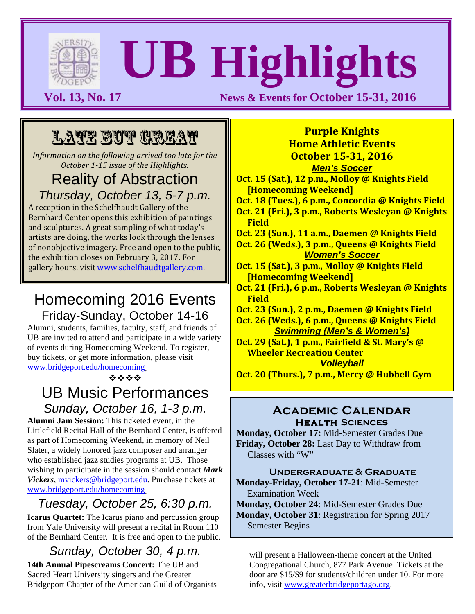

# **UB Highlights**

**Vol. 13, No. 17 News & Events for October 15-31, 2016** 

# LATE BUT GREAT

*Information on the following arrived too late for the October 1-15 issue of the Highlights.* 

#### Reality of Abstraction *Thursday, October 13, 5-7 p.m.*

A reception in the Schelfhaudt Gallery of the Bernhard Center opens this exhibition of paintings and sculptures. A great sampling of what today's artists are doing, the works look through the lenses of nonobjective imagery. Free and open to the public, the exhibition closes on February 3, 2017. For gallery hours, visit www.schelfhaudtgallery.com.

# Homecoming 2016 Events Friday-Sunday, October 14-16

Alumni, students, families, faculty, staff, and friends of UB are invited to attend and participate in a wide variety of events during Homecoming Weekend. To register, buy tickets, or get more information, please visit www.bridgeport.edu/homecoming.

**\*\*\*\*** 

# UB Music Performances *Sunday, October 16, 1-3 p.m.*

**Alumni Jam Session:** This ticketed event, in the Littlefield Recital Hall of the Bernhard Center, is offered as part of Homecoming Weekend, in memory of Neil Slater, a widely honored jazz composer and arranger who established jazz studies programs at UB. Those wishing to participate in the session should contact *Mark Vickers*, mvickers@bridgeport.edu. Purchase tickets at www.bridgeport.edu/homecoming.

# *Tuesday, October 25, 6:30 p.m.*

**Icarus Quartet:** The Icarus piano and percussion group from Yale University will present a recital in Room 110 of the Bernhard Center. It is free and open to the public.

# *Sunday, October 30, 4 p.m.*

**14th Annual Pipescreams Concert:** The UB and Sacred Heart University singers and the Greater Bridgeport Chapter of the American Guild of Organists

#### **Purple Knights Home Athletic Events October 15-31, 2016** *Men's Soccer*

**Oct. 15 (Sat.), 12 p.m., Molloy @ Knights Field [Homecoming Weekend]**

**Oct. 18 (Tues.), 6 p.m., Concordia @ Knights Field Oct. 21 (Fri.), 3 p.m., Roberts Wesleyan @ Knights Field**

**Oct. 23 (Sun.), 11 a.m., Daemen @ Knights Field** 

**Oct. 26 (Weds.), 3 p.m., Queens @ Knights Field** *Women's Soccer*

- **Oct. 15 (Sat.), 3 p.m., Molloy @ Knights Field [Homecoming Weekend]**
- **Oct. 21 (Fri.), 6 p.m., Roberts Wesleyan @ Knights Field**
- **Oct. 23 (Sun.), 2 p.m., Daemen @ Knights Field**

**Oct. 26 (Weds.), 6 p.m., Queens @ Knights Field** *Swimming (Men's & Women's)*

**Oct. 29 (Sat.), 1 p.m., Fairfield & St. Mary's @ Wheeler Recreation Center** 

*Volleyball*

**Oct. 20 (Thurs.), 7 p.m., Mercy @ Hubbell Gym** 

#### **Academic Calendar Health Sciences**

**Monday, October 17:** Mid-Semester Grades Due **Friday, October 28:** Last Day to Withdraw from Classes with "W"

**Undergraduate & Graduate Monday-Friday, October 17-21**: Mid-Semester Examination Week

**Monday, October 24**: Mid-Semester Grades Due **Monday, October 31**: Registration for Spring 2017 Semester Begins

will present a Halloween-theme concert at the United Congregational Church, 877 Park Avenue. Tickets at the door are \$15/\$9 for students/children under 10. For more info, visit www.greaterbridgeportago.org.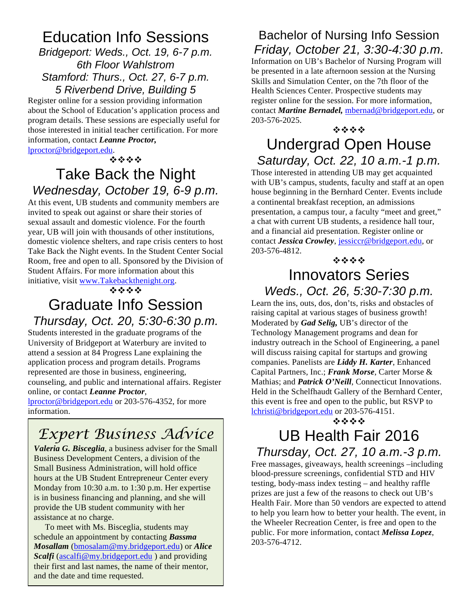# Education Info Sessions

*Bridgeport: Weds., Oct. 19, 6-7 p.m. 6th Floor Wahlstrom Stamford: Thurs., Oct. 27, 6-7 p.m. 5 Riverbend Drive, Building 5*

Register online for a session providing information about the School of Education's application process and program details. These sessions are especially useful for those interested in initial teacher certification. For more information, contact *Leanne Proctor,* 

lproctor@bridgeport.edu.

#### \*\*\*

# Take Back the Night *Wednesday, October 19, 6-9 p.m.*

At this event, UB students and community members are invited to speak out against or share their stories of sexual assault and domestic violence. For the fourth year, UB will join with thousands of other institutions, domestic violence shelters, and rape crisis centers to host Take Back the Night events. In the Student Center Social Room, free and open to all. Sponsored by the Division of Student Affairs. For more information about this initiative, visit www.Takebackthenight.org.

\*\*\*\*

# Graduate Info Session *Thursday, Oct. 20, 5:30-6:30 p.m.*

Students interested in the graduate programs of the University of Bridgeport at Waterbury are invited to attend a session at 84 Progress Lane explaining the application process and program details. Programs represented are those in business, engineering, counseling, and public and international affairs. Register online, or contact *Leanne Proctor*,

lproctor@bridgeport.edu or 203-576-4352, for more information.

# *Expert Business Advice*

*Valeria G. Bisceglia*, a business adviser for the Small Business Development Centers, a division of the Small Business Administration, will hold office hours at the UB Student Entrepreneur Center every Monday from 10:30 a.m. to 1:30 p.m. Her expertise is in business financing and planning, and she will provide the UB student community with her assistance at no charge.

To meet with Ms. Bisceglia, students may schedule an appointment by contacting *Bassma Mosallam* (bmosalam@my.bridgeport.edu) or *Alice Scalfi* (ascalfi@my.bridgeport.edu) and providing their first and last names, the name of their mentor, and the date and time requested.

#### Bachelor of Nursing Info Session *Friday, October 21, 3:30-4:30 p.m.*

Information on UB's Bachelor of Nursing Program will be presented in a late afternoon session at the Nursing Skills and Simulation Center, on the 7th floor of the Health Sciences Center. Prospective students may register online for the session. For more information, contact *Martine Bernadel,* mbernad@bridgeport.edu, or 203-576-2025.

**\*\*\*\*** 

### Undergrad Open House *Saturday, Oct. 22, 10 a.m.-1 p.m.*

Those interested in attending UB may get acquainted with UB's campus, students, faculty and staff at an open house beginning in the Bernhard Center. Events include a continental breakfast reception, an admissions presentation, a campus tour, a faculty "meet and greet," a chat with current UB students, a residence hall tour, and a financial aid presentation. Register online or contact *Jessica Crowley*, jessiccr@bridgeport.edu, or 203-576-4812.

**\*\*\*\*** 

#### Innovators Series *Weds., Oct. 26, 5:30-7:30 p.m.*

Learn the ins, outs, dos, don'ts, risks and obstacles of raising capital at various stages of business growth! Moderated by *Gad Selig,* UB's director of the Technology Management programs and dean for industry outreach in the School of Engineering, a panel will discuss raising capital for startups and growing companies. Panelists are *Liddy H. Karter*, Enhanced Capital Partners, Inc.; *Frank Morse*, Carter Morse & Mathias; and *Patrick O'Neill*, Connecticut Innovations. Held in the Schelfhaudt Gallery of the Bernhard Center, this event is free and open to the public, but RSVP to lchristi@bridgeport.edu or 203-576-4151.

#### \*\*\*\*

# UB Health Fair 2016 *Thursday, Oct. 27, 10 a.m.-3 p.m.*

Free massages, giveaways, health screenings –including blood-pressure screenings, confidential STD and HIV testing, body-mass index testing – and healthy raffle prizes are just a few of the reasons to check out UB's Health Fair. More than 50 vendors are expected to attend to help you learn how to better your health. The event, in the Wheeler Recreation Center, is free and open to the public. For more information, contact *Melissa Lopez*, 203-576-4712.